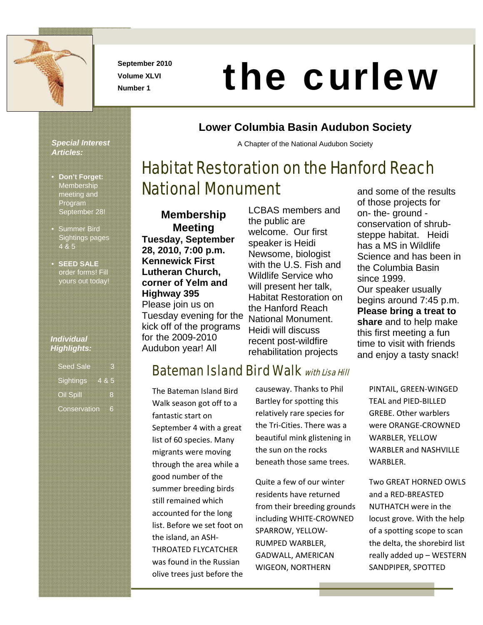

**September 2010 Volume XLVI** 

# Number 1 **the curlew**<br>Number 1

**Lower Columbia Basin Audubon Society** 

A Chapter of the National Audubon Society

Habitat Restoration on the Hanford Reach

#### *Special Interest Articles:*

- **Don't Forget: Membership** meeting and Program September 28!
- Summer Bird Sightings pages 4 & 5
- **SEED SALE** order forms! Fill yours out today!

#### *Individual Highlights:*

| <b>Seed Sale</b> |  |
|------------------|--|
| Sightings 4 & 5  |  |
| Oil Spill        |  |
| Conservation     |  |

#### **Membership Meeting Tuesday, September 28, 2010, 7:00 p.m. Kennewick First Lutheran Church, corner of Yelm and Highway 395**  Please join us on Tuesday evening for the kick off of the programs for the 2009-2010 Audubon year! All

National Monument

LCBAS members and the public are welcome. Our first speaker is Heidi Newsome, biologist with the U.S. Fish and Wildlife Service who will present her talk, Habitat Restoration on the Hanford Reach National Monument. Heidi will discuss recent post-wildfire rehabilitation projects

## **Bateman Island Bird Walk with Lisa Hill**

The Bateman Island Bird Walk season got off to a fantastic start on September 4 with a great list of 60 species. Many migrants were moving through the area while a good number of the summer breeding birds still remained which accounted for the long list. Before we set foot on the island, an ASH‐ THROATED FLYCATCHER was found in the Russian olive trees just before the

causeway. Thanks to Phil Bartley for spotting this relatively rare species for the Tri‐Cities. There was a beautiful mink glistening in the sun on the rocks beneath those same trees.

Quite a few of our winter residents have returned from their breeding grounds including WHITE‐CROWNED SPARROW, YELLOW‐ RUMPED WARBLER, GADWALL, AMERICAN WIGEON, NORTHERN

and some of the results of those projects for on- the- ground conservation of shrubsteppe habitat. Heidi has a MS in Wildlife Science and has been in the Columbia Basin since 1999. Our speaker usually begins around 7:45 p.m. **Please bring a treat to share** and to help make this first meeting a fun time to visit with friends and enjoy a tasty snack!

> PINTAIL, GREEN‐WINGED TEAL and PIED‐BILLED GREBE. Other warblers were ORANGE‐CROWNED WARBLER, YELLOW WARBLER and NASHVILLE WARBLER.

Two GREAT HORNED OWLS and a RED‐BREASTED NUTHATCH were in the locust grove. With the help of a spotting scope to scan the delta, the shorebird list really added up – WESTERN SANDPIPER, SPOTTED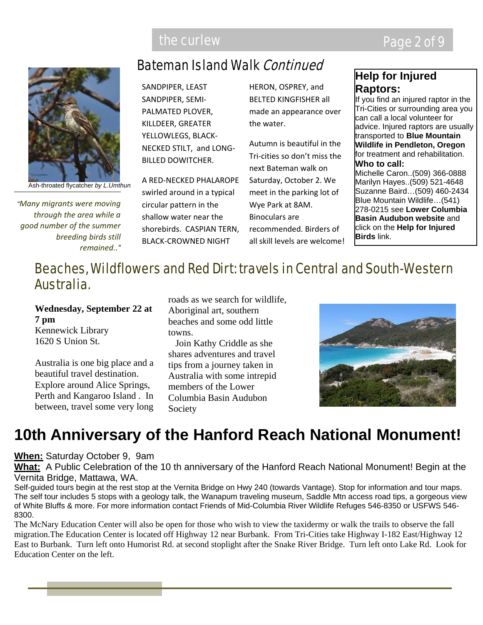

*"Many migrants were moving through the area while a good number of the summer breeding birds still remained.."*

## Bateman Island Walk Continued

SANDPIPER, LEAST SANDPIPER, SEMI‐ PALMATED PLOVER, KILLDEER, GREATER YELLOWLEGS, BLACK‐ NECKED STILT, and LONG‐ BILLED DOWITCHER.

A RED‐NECKED PHALAROPE swirled around in a typical circular pattern in the shallow water near the shorebirds. CASPIAN TERN, BLACK‐CROWNED NIGHT

HERON, OSPREY, and BELTED KINGFISHER all made an appearance over the water.

Autumn is beautiful in the Tri‐cities so don't miss the next Bateman walk on Saturday, October 2. We meet in the parking lot of Wye Park at 8AM. Binoculars are recommended. Birders of all skill levels are welcome!

#### **Help for Injured Raptors:**

If you find an injured raptor in the Tri-Cities or surrounding area you can call a local volunteer for advice. Injured raptors are usually transported to **Blue Mountain Wildlife in Pendleton, Oregon**  for treatment and rehabilitation. **Who to call:**  Michelle Caron..(509) 366-0888 Marilyn Hayes..(509) 521-4648 Suzanne Baird…(509) 460-2434 Blue Mountain Wildlife…(541)

278-0215 see **Lower Columbia Basin Audubon website** and click on the **Help for Injured Birds** link.

## Beaches, Wildflowers and Red Dirt: travels in Central and South-Western Australia.

**Wednesday, September 22 at 7 pm**  Kennewick Library

1620 S Union St.

Australia is one big place and a beautiful travel destination. Explore around Alice Springs, Perth and Kangaroo Island . In between, travel some very long

roads as we search for wildlife, Aboriginal art, southern beaches and some odd little towns.

 Join Kathy Criddle as she shares adventures and travel tips from a journey taken in Australia with some intrepid members of the Lower Columbia Basin Audubon Society



## **10th Anniversary of the Hanford Reach National Monument!**

#### **When:** Saturday October 9, 9am

**What:** A Public Celebration of the 10 th anniversary of the Hanford Reach National Monument! Begin at the Vernita Bridge, Mattawa, WA.

Self-guided tours begin at the rest stop at the Vernita Bridge on Hwy 240 (towards Vantage). Stop for information and tour maps. The self tour includes 5 stops with a geology talk, the Wanapum traveling museum, Saddle Mtn access road tips, a gorgeous view of White Bluffs & more. For more information contact Friends of Mid-Columbia River Wildlife Refuges 546-8350 or USFWS 546- 8300.

The McNary Education Center will also be open for those who wish to view the taxidermy or walk the trails to observe the fall migration.The Education Center is located off Highway 12 near Burbank. From Tri-Cities take Highway I-182 East/Highway 12 East to Burbank. Turn left onto Humorist Rd. at second stoplight after the Snake River Bridge. Turn left onto Lake Rd. Look for Education Center on the left.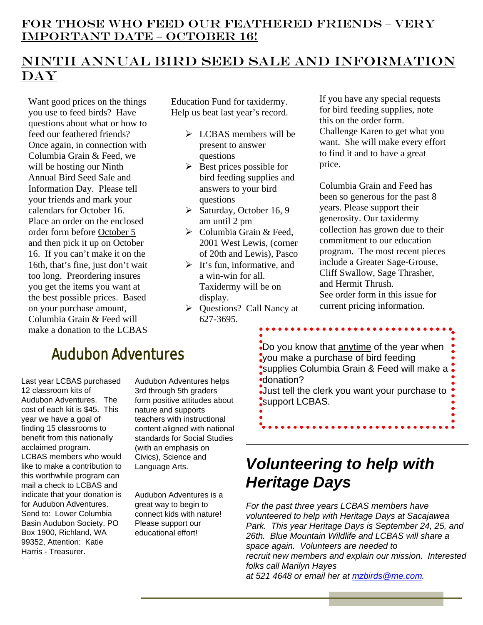## Ninth Annual Bird Seed Sale and Information **DAY**

Want good prices on the things you use to feed birds? Have questions about what or how to feed our feathered friends? Once again, in connection with Columbia Grain & Feed, we will be hosting our Ninth Annual Bird Seed Sale and Information Day. Please tell your friends and mark your calendars for October 16. Place an order on the enclosed order form before October 5 and then pick it up on October 16. If you can't make it on the 16th, that's fine, just don't wait too long. Preordering insures you get the items you want at the best possible prices. Based on your purchase amount, Columbia Grain & Feed will make a donation to the LCBAS

Education Fund for taxidermy. Help us beat last year's record.

- $\triangleright$  LCBAS members will be present to answer questions
- $\triangleright$  Best prices possible for bird feeding supplies and answers to your bird questions
- $\blacktriangleright$  Saturday, October 16, 9 am until 2 pm
- $\triangleright$  Columbia Grain & Feed, 2001 West Lewis, (corner of 20th and Lewis), Pasco
- $\triangleright$  It's fun, informative, and a win-win for all. Taxidermy will be on display.
- $\triangleright$  Questions? Call Nancy at 627-3695.

If you have any special requests for bird feeding supplies, note this on the order form. Challenge Karen to get what you want. She will make every effort to find it and to have a great price.

Columbia Grain and Feed has been so generous for the past 8 years. Please support their generosity. Our taxidermy collection has grown due to their commitment to our education program. The most recent pieces include a Greater Sage-Grouse, Cliff Swallow, Sage Thrasher, and Hermit Thrush. See order form in this issue for current pricing information.

## Audubon Adventures

Last year LCBAS purchased 12 classroom kits of Audubon Adventures. The cost of each kit is \$45. This year we have a goal of finding 15 classrooms to benefit from this nationally acclaimed program. LCBAS members who would like to make a contribution to this worthwhile program can mail a check to LCBAS and indicate that your donation is for Audubon Adventures. Send to: Lower Columbia Basin Audubon Society, PO Box 1900, Richland, WA 99352, Attention: Katie Harris - Treasurer.

Audubon Adventures helps 3rd through 5th graders form positive attitudes about nature and supports teachers with instructional content aligned with national standards for Social Studies (with an emphasis on Civics), Science and Language Arts.

Audubon Adventures is a great way to begin to connect kids with nature! Please support our educational effort!

Do you know that anytime of the year when you make a purchase of bird feeding supplies Columbia Grain & Feed will make a donation? Just tell the clerk you want your purchase to

. . . . . . . . .

## *Volunteering to help with Heritage Days*

support LCBAS.

*For the past three years LCBAS members have volunteered to help with Heritage Days at Sacajawea Park. This year Heritage Days is September 24, 25, and 26th. Blue Mountain Wildlife and LCBAS will share a space again. Volunteers are needed to recruit new members and explain our mission. Interested folks call Marilyn Hayes at 521 4648 or email her at mzbirds@me.com.*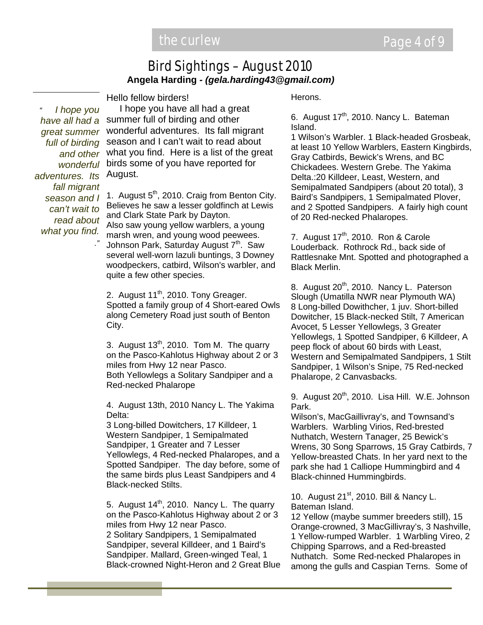#### Bird Sightings – August 2010 **Angela Harding** *- (gela.harding43@gmail.com)*

Hello fellow birders!

adventures. Its August. *" I hope you great summer full of birding and other wonderful fall migrant season and I can't wait to read about what you find.*

*."*

 I hope you have all had a great have all had a summer full of birding and other wonderful adventures. Its fall migrant season and I can't wait to read about what you find. Here is a list of the great birds some of you have reported for

> 1. August  $5<sup>th</sup>$ , 2010. Craig from Benton City. Believes he saw a lesser goldfinch at Lewis and Clark State Park by Dayton. Also saw young yellow warblers, a young marsh wren, and young wood peewees. Johnson Park, Saturday August 7<sup>th</sup>. Saw several well-worn lazuli buntings, 3 Downey woodpeckers, catbird, Wilson's warbler, and quite a few other species.

2. August  $11^{th}$ , 2010. Tony Greager. Spotted a family group of 4 Short-eared Owls along Cemetery Road just south of Benton City.

3. August  $13<sup>th</sup>$ , 2010. Tom M. The quarry on the Pasco-Kahlotus Highway about 2 or 3 miles from Hwy 12 near Pasco. Both Yellowlegs a Solitary Sandpiper and a Red-necked Phalarope

4. August 13th, 2010 Nancy L. The Yakima Delta:

3 Long-billed Dowitchers, 17 Killdeer, 1 Western Sandpiper, 1 Semipalmated Sandpiper, 1 Greater and 7 Lesser Yellowlegs, 4 Red-necked Phalaropes, and a Spotted Sandpiper. The day before, some of the same birds plus Least Sandpipers and 4 Black-necked Stilts.

5. August  $14<sup>th</sup>$ , 2010. Nancy L. The quarry on the Pasco-Kahlotus Highway about 2 or 3 miles from Hwy 12 near Pasco. 2 Solitary Sandpipers, 1 Semipalmated Sandpiper, several Killdeer, and 1 Baird's Sandpiper. Mallard, Green-winged Teal, 1 Black-crowned Night-Heron and 2 Great Blue Herons.

6. August  $17<sup>th</sup>$ , 2010. Nancy L. Bateman Island.

1 Wilson's Warbler. 1 Black-headed Grosbeak, at least 10 Yellow Warblers, Eastern Kingbirds, Gray Catbirds, Bewick's Wrens, and BC Chickadees. Western Grebe. The Yakima Delta.:20 Killdeer, Least, Western, and Semipalmated Sandpipers (about 20 total), 3 Baird's Sandpipers, 1 Semipalmated Plover, and 2 Spotted Sandpipers. A fairly high count of 20 Red-necked Phalaropes.

7. August 17<sup>th</sup>, 2010. Ron & Carole Louderback. Rothrock Rd., back side of Rattlesnake Mnt. Spotted and photographed a Black Merlin.

8. August 20<sup>th</sup>, 2010. Nancy L. Paterson Slough (Umatilla NWR near Plymouth WA) 8 Long-billed Dowithcher, 1 juv. Short-billed Dowitcher, 15 Black-necked Stilt, 7 American Avocet, 5 Lesser Yellowlegs, 3 Greater Yellowlegs, 1 Spotted Sandpiper, 6 Killdeer, A peep flock of about 60 birds with Least, Western and Semipalmated Sandpipers, 1 Stilt Sandpiper, 1 Wilson's Snipe, 75 Red-necked Phalarope, 2 Canvasbacks.

9. August 20<sup>th</sup>, 2010. Lisa Hill. W.E. Johnson Park.

Wilson's, MacGaillivray's, and Townsand's Warblers. Warbling Virios, Red-brested Nuthatch, Western Tanager, 25 Bewick's Wrens, 30 Song Sparrows, 15 Gray Catbirds, 7 Yellow-breasted Chats. In her yard next to the park she had 1 Calliope Hummingbird and 4 Black-chinned Hummingbirds.

10. August 21<sup>st</sup>, 2010. Bill & Nancy L. Bateman Island.

12 Yellow (maybe summer breeders still), 15 Orange-crowned, 3 MacGillivray's, 3 Nashville, 1 Yellow-rumped Warbler. 1 Warbling Vireo, 2 Chipping Sparrows, and a Red-breasted Nuthatch. Some Red-necked Phalaropes in among the gulls and Caspian Terns. Some of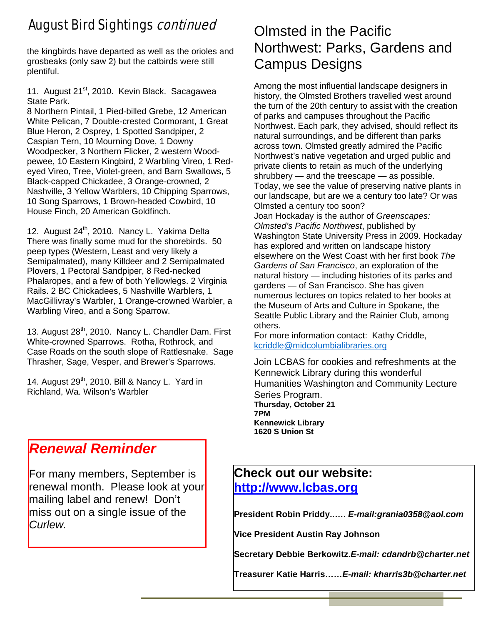## August Bird Sightings continued

the kingbirds have departed as well as the orioles and grosbeaks (only saw 2) but the catbirds were still plentiful.

11. August 21<sup>st</sup>, 2010. Kevin Black. Sacagawea State Park.

8 Northern Pintail, 1 Pied-billed Grebe, 12 American White Pelican, 7 Double-crested Cormorant, 1 Great Blue Heron, 2 Osprey, 1 Spotted Sandpiper, 2 Caspian Tern, 10 Mourning Dove, 1 Downy Woodpecker, 3 Northern Flicker, 2 western Woodpewee, 10 Eastern Kingbird, 2 Warbling Vireo, 1 Redeyed Vireo, Tree, Violet-green, and Barn Swallows, 5 Black-capped Chickadee, 3 Orange-crowned, 2 Nashville, 3 Yellow Warblers, 10 Chipping Sparrows, 10 Song Sparrows, 1 Brown-headed Cowbird, 10 House Finch, 20 American Goldfinch.

12. August  $24<sup>th</sup>$ , 2010. Nancy L. Yakima Delta There was finally some mud for the shorebirds. 50 peep types (Western, Least and very likely a Semipalmated), many Killdeer and 2 Semipalmated Plovers, 1 Pectoral Sandpiper, 8 Red-necked Phalaropes, and a few of both Yellowlegs. 2 Virginia Rails. 2 BC Chickadees, 5 Nashville Warblers, 1 MacGillivray's Warbler, 1 Orange-crowned Warbler, a Warbling Vireo, and a Song Sparrow.

13. August 28<sup>th</sup>, 2010. Nancy L. Chandler Dam. First White-crowned Sparrows. Rotha, Rothrock, and Case Roads on the south slope of Rattlesnake. Sage Thrasher, Sage, Vesper, and Brewer's Sparrows.

14. August 29<sup>th</sup>, 2010. Bill & Nancy L. Yard in Richland, Wa. Wilson's Warbler

## *Renewal Reminder*

For many members, September is renewal month. Please look at your mailing label and renew! Don't miss out on a single issue of the *Curlew.* 

## Olmsted in the Pacific Northwest: Parks, Gardens and Campus Designs

Among the most influential landscape designers in history, the Olmsted Brothers travelled west around the turn of the 20th century to assist with the creation of parks and campuses throughout the Pacific Northwest. Each park, they advised, should reflect its natural surroundings, and be different than parks across town. Olmsted greatly admired the Pacific Northwest's native vegetation and urged public and private clients to retain as much of the underlying shrubbery — and the treescape — as possible. Today, we see the value of preserving native plants in our landscape, but are we a century too late? Or was Olmsted a century too soon? Joan Hockaday is the author of *Greenscapes: Olmsted's Pacific Northwest*, published by Washington State University Press in 2009. Hockaday has explored and written on landscape history elsewhere on the West Coast with her first book *The Gardens of San Francisco*, an exploration of the natural history — including histories of its parks and gardens — of San Francisco. She has given numerous lectures on topics related to her books at the Museum of Arts and Culture in Spokane, the Seattle Public Library and the Rainier Club, among others.

For more information contact: Kathy Criddle, kcriddle@midcolumbialibraries.org

Join LCBAS for cookies and refreshments at the Kennewick Library during this wonderful Humanities Washington and Community Lecture Series Program. **Thursday, October 21 7PM Kennewick Library 1620 S Union St**

## **Check out our website: http://www.lcbas.org**

**President Robin Priddy..….** *E-mail:grania0358@aol.com* 

**Vice President Austin Ray Johnson**

**Secretary Debbie Berkowitz.***E-mail: cdandrb@charter.net*

**Treasurer Katie Harris……***E-mail: kharris3b@charter.net*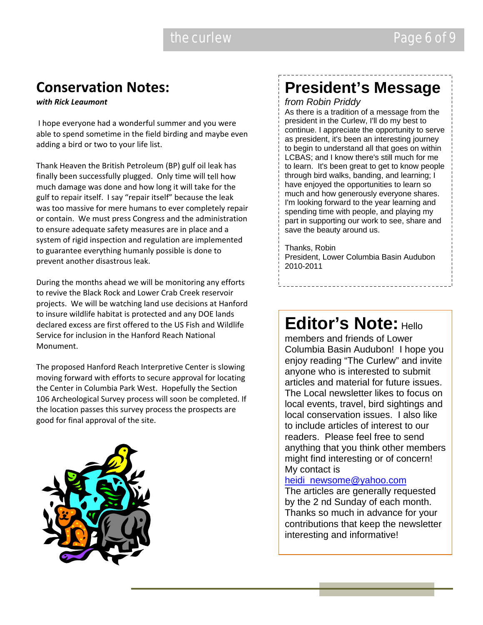## **Conservation Notes:**

*with Rick Leaumont*

I hope everyone had a wonderful summer and you were able to spend sometime in the field birding and maybe even adding a bird or two to your life list.

Thank Heaven the British Petroleum (BP) gulf oil leak has finally been successfully plugged. Only time will tell how much damage was done and how long it will take for the gulf to repair itself. I say "repair itself" because the leak was too massive for mere humans to ever completely repair or contain. We must press Congress and the administration to ensure adequate safety measures are in place and a system of rigid inspection and regulation are implemented to guarantee everything humanly possible is done to prevent another disastrous leak.

During the months ahead we will be monitoring any efforts to revive the Black Rock and Lower Crab Creek reservoir projects. We will be watching land use decisions at Hanford to insure wildlife habitat is protected and any DOE lands declared excess are first offered to the US Fish and Wildlife Service for inclusion in the Hanford Reach National Monument.

The proposed Hanford Reach Interpretive Center is slowing moving forward with efforts to secure approval for locating the Center in Columbia Park West. Hopefully the Section 106 Archeological Survey process will soon be completed. If the location passes this survey process the prospects are good for final approval of the site.



## **President's Message**

*from Robin Priddy* 

As there is a tradition of a message from the president in the Curlew, I'll do my best to continue. I appreciate the opportunity to serve as president, it's been an interesting journey to begin to understand all that goes on within LCBAS; and I know there's still much for me to learn. It's been great to get to know people through bird walks, banding, and learning; I have enjoyed the opportunities to learn so much and how generously everyone shares. I'm looking forward to the year learning and spending time with people, and playing my part in supporting our work to see, share and save the beauty around us.

Thanks, Robin President, Lower Columbia Basin Audubon 2010-2011

## **Editor's Note: Hello**

members and friends of Lower Columbia Basin Audubon! I hope you enjoy reading "The Curlew" and invite anyone who is interested to submit articles and material for future issues. The Local newsletter likes to focus on local events, travel, bird sightings and local conservation issues. I also like to include articles of interest to our readers. Please feel free to send anything that you think other members might find interesting or of concern! My contact is

#### heidi\_newsome@yahoo.com

The articles are generally requested by the 2 nd Sunday of each month. Thanks so much in advance for your contributions that keep the newsletter interesting and informative!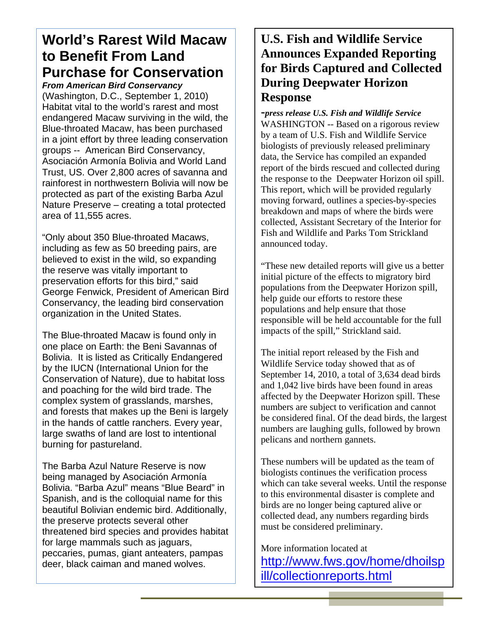## **World's Rarest Wild Macaw to Benefit From Land Purchase for Conservation**

*From American Bird Conservancy* 

(Washington, D.C., September 1, 2010) Habitat vital to the world's rarest and most endangered Macaw surviving in the wild, the Blue-throated Macaw, has been purchased in a joint effort by three leading conservation groups -- American Bird Conservancy, Asociación Armonía Bolivia and World Land Trust, US. Over 2,800 acres of savanna and rainforest in northwestern Bolivia will now be protected as part of the existing Barba Azul Nature Preserve – creating a total protected area of 11,555 acres.

"Only about 350 Blue-throated Macaws, including as few as 50 breeding pairs, are believed to exist in the wild, so expanding the reserve was vitally important to preservation efforts for this bird," said George Fenwick, President of American Bird Conservancy, the leading bird conservation organization in the United States.

The Blue-throated Macaw is found only in one place on Earth: the Beni Savannas of Bolivia. It is listed as Critically Endangered by the IUCN (International Union for the Conservation of Nature), due to habitat loss and poaching for the wild bird trade. The complex system of grasslands, marshes, and forests that makes up the Beni is largely in the hands of cattle ranchers. Every year, large swaths of land are lost to intentional burning for pastureland.

The Barba Azul Nature Reserve is now being managed by Asociación Armonía Bolivia. "Barba Azul" means "Blue Beard" in Spanish, and is the colloquial name for this beautiful Bolivian endemic bird. Additionally, the preserve protects several other threatened bird species and provides habitat for large mammals such as jaguars, peccaries, pumas, giant anteaters, pampas deer, black caiman and maned wolves.

### **U.S. Fish and Wildlife Service Announces Expanded Reporting for Birds Captured and Collected During Deepwater Horizon Response**

**-***press release U.S. Fish and Wildlife Service*  WASHINGTON -- Based on a rigorous review by a team of U.S. Fish and Wildlife Service biologists of previously released preliminary data, the Service has compiled an expanded report of the birds rescued and collected during the response to the Deepwater Horizon oil spill. This report, which will be provided regularly moving forward, outlines a species-by-species breakdown and maps of where the birds were collected, Assistant Secretary of the Interior for Fish and Wildlife and Parks Tom Strickland announced today.

"These new detailed reports will give us a better initial picture of the effects to migratory bird populations from the Deepwater Horizon spill, help guide our efforts to restore these populations and help ensure that those responsible will be held accountable for the full impacts of the spill," Strickland said.

The initial report released by the Fish and Wildlife Service today showed that as of September 14, 2010, a total of 3,634 dead birds and 1,042 live birds have been found in areas affected by the Deepwater Horizon spill. These numbers are subject to verification and cannot be considered final. Of the dead birds, the largest numbers are laughing gulls, followed by brown pelicans and northern gannets.

These numbers will be updated as the team of biologists continues the verification process which can take several weeks. Until the response to this environmental disaster is complete and birds are no longer being captured alive or collected dead, any numbers regarding birds must be considered preliminary.

More information located at http://www.fws.gov/home/dhoilsp ill/collectionreports.html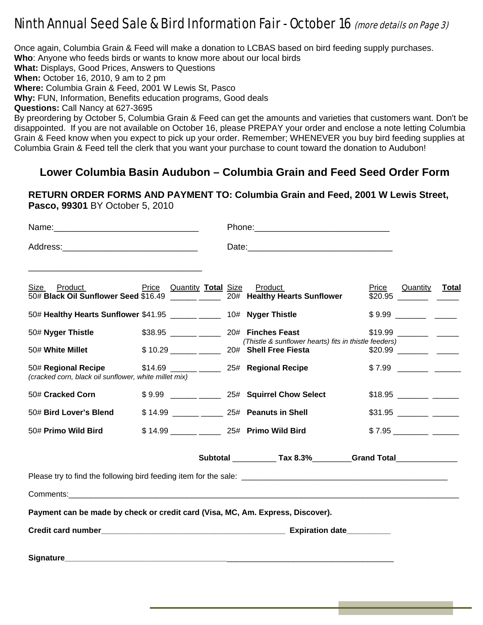## Ninth Annual Seed Sale & Bird Information Fair - October 16 (more details on Page 3)

Once again, Columbia Grain & Feed will make a donation to LCBAS based on bird feeding supply purchases.

**Who**: Anyone who feeds birds or wants to know more about our local birds

**What:** Displays, Good Prices, Answers to Questions

**When:** October 16, 2010, 9 am to 2 pm

**Where:** Columbia Grain & Feed, 2001 W Lewis St, Pasco

**Why:** FUN, Information, Benefits education programs, Good deals

**Questions:** Call Nancy at 627-3695

By preordering by October 5, Columbia Grain & Feed can get the amounts and varieties that customers want. Don't be disappointed. If you are not available on October 16, please PREPAY your order and enclose a note letting Columbia Grain & Feed know when you expect to pick up your order. Remember; WHENEVER you buy bird feeding supplies at Columbia Grain & Feed tell the clerk that you want your purchase to count toward the donation to Audubon!

#### **Lower Columbia Basin Audubon – Columbia Grain and Feed Seed Order Form**

**RETURN ORDER FORMS AND PAYMENT TO: Columbia Grain and Feed, 2001 W Lewis Street, Pasco, 99301** BY October 5, 2010

| Size Product<br>50# Black Oil Sunflower Seed \$16.49 ______ ______ 20# Healthy Hearts Sunflower | <b>Price</b> Quantity Total Size Product |  |  |                                                                                                                                                                                                                                      |  | Price Quantity Total |  |
|-------------------------------------------------------------------------------------------------|------------------------------------------|--|--|--------------------------------------------------------------------------------------------------------------------------------------------------------------------------------------------------------------------------------------|--|----------------------|--|
| 50# Healthy Hearts Sunflower \$41.95 ______ _____ 10# Nyger Thistle                             |                                          |  |  |                                                                                                                                                                                                                                      |  |                      |  |
| 50# Nyger Thistle<br>50# White Millet                                                           |                                          |  |  | \$38.95 _____ ______ 20# Finches Feast<br>(Thistle & sunflower hearts) fits in thistle feeders)<br>\$10.29 _____ _____ 20# Shell Free Fiesta                                                                                         |  |                      |  |
| 50# Regional Recipe<br>(cracked corn, black oil sunflower, white millet mix)                    |                                          |  |  | \$14.69 ______ _____ 25# Regional Recipe                                                                                                                                                                                             |  |                      |  |
| 50# Cracked Corn                                                                                |                                          |  |  | \$9.99 _____ _____ 25# Squirrel Chow Select                                                                                                                                                                                          |  |                      |  |
| 50# Bird Lover's Blend                                                                          |                                          |  |  | \$14.99 ______ _____ 25# Peanuts in Shell                                                                                                                                                                                            |  |                      |  |
| 50# Primo Wild Bird                                                                             |                                          |  |  | \$14.99 ______ _____ 25# Primo Wild Bird                                                                                                                                                                                             |  |                      |  |
|                                                                                                 |                                          |  |  | Subtotal ______________ Tax 8.3%____________Grand Total_________________________                                                                                                                                                     |  |                      |  |
|                                                                                                 |                                          |  |  |                                                                                                                                                                                                                                      |  |                      |  |
|                                                                                                 |                                          |  |  |                                                                                                                                                                                                                                      |  |                      |  |
| Payment can be made by check or credit card (Visa, MC, Am. Express, Discover).                  |                                          |  |  |                                                                                                                                                                                                                                      |  |                      |  |
|                                                                                                 |                                          |  |  |                                                                                                                                                                                                                                      |  |                      |  |
|                                                                                                 |                                          |  |  | Signature <b>Second Contract Contract Contract Contract Contract Contract Contract Contract Contract Contract Contract Contract Contract Contract Contract Contract Contract Contract Contract Contract Contract Contract Contra</b> |  |                      |  |